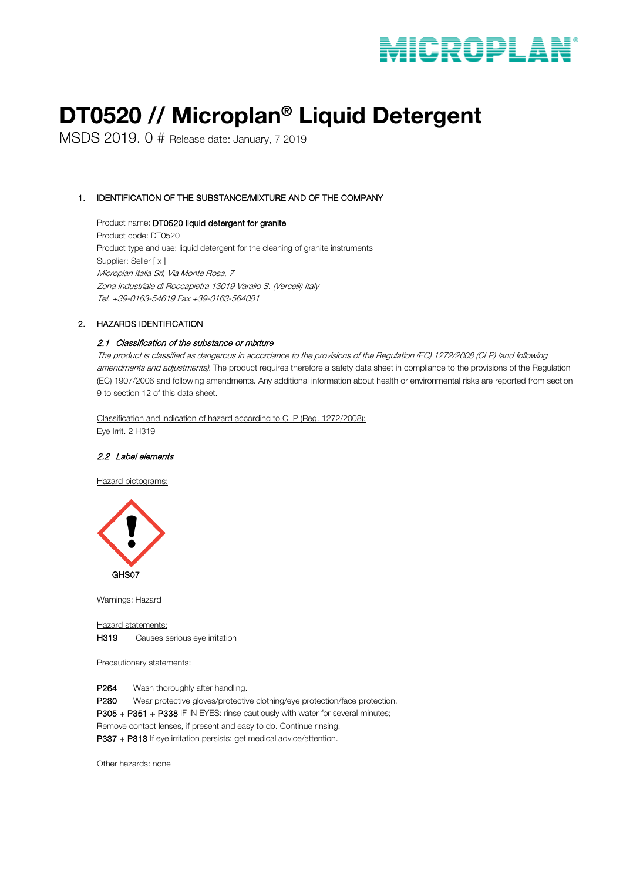# DT0520 // Microplan® Liquid Detergent

MSDS 2019. 0 # Release date: January, 7 2019

# 1. IDENTIFICATION OF THE SUBSTANCE/MIXTURE AND OF THE COMPANY

Product name: DT0520 liquid detergent for granite Product code: DT0520 Product type and use: liquid detergent for the cleaning of granite instruments Supplier: Seller [ x ] Microplan Italia Srl, Via Monte Rosa, 7 Zona Industriale di Roccapietra 13019 Varallo S. (Vercelli) Italy Tel. +39-0163-54619 Fax +39-0163-564081

# 2. HAZARDS IDENTIFICATION

# 2.1 Classification of the substance or mixture

The product is classified as dangerous in accordance to the provisions of the Regulation (EC) 1272/2008 (CLP) (and following amendments and adjustments). The product requires therefore a safety data sheet in compliance to the provisions of the Regulation (EC) 1907/2006 and following amendments. Any additional information about health or environmental risks are reported from section 9 to section 12 of this data sheet.

Classification and indication of hazard according to CLP (Reg. 1272/2008): Eye Irrit. 2 H319

# 2.2 Label elements

Hazard pictograms:



Warnings: Hazard

Hazard statements: H319 Causes serious eye irritation

Precautionary statements:

P264 Wash thoroughly after handling.

P280 Wear protective gloves/protective clothing/eye protection/face protection.

P305 + P351 + P338 IF IN EYES: rinse cautiously with water for several minutes;

Remove contact lenses, if present and easy to do. Continue rinsing.

P337 + P313 If eye irritation persists: get medical advice/attention.

Other hazards: none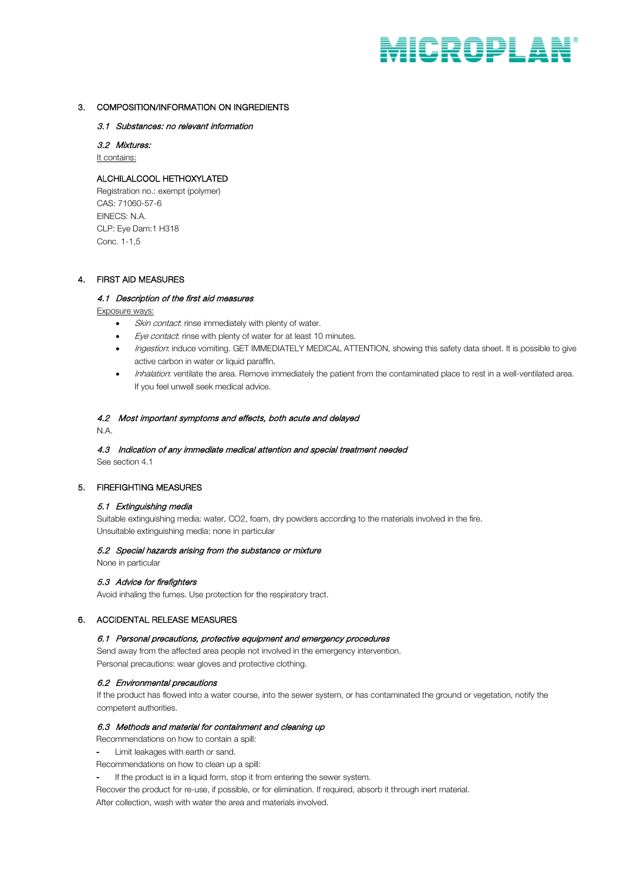# 3. COMPOSITION/INFORMATION ON INGREDIENTS

# 3.1 Substances: no relevant information

3.2 Mixtures: It contains:

# ALCHILALCOOL HETHOXYLATED

Registration no.: exempt (polymer) CAS: 71060-57-6 EINECS: N.A. CLP: Eye Dam:1 H318 Conc. 1-1,5

# 4. FIRST AID MEASURES

# 4.1 Description of the first aid measures

Exposure ways:

- Skin contact: rinse immediately with plenty of water.
- Eye contact: rinse with plenty of water for at least 10 minutes.
- Ingestion: induce vomiting. GET IMMEDIATELY MEDICAL ATTENTION, showing this safety data sheet. It is possible to give active carbon in water or liquid paraffin.
- Inhalation: ventilate the area. Remove immediately the patient from the contaminated place to rest in a well-ventilated area. If you feel unwell seek medical advice.

# 4.2 Most important symptoms and effects, both acute and delayed

N.A.

# 4.3 Indication of any immediate medical attention and special treatment needed

See section 4.1

# 5. FIREFIGHTING MEASURES

# 5.1 Extinguishing media

Suitable extinguishing media: water, CO2, foam, dry powders according to the materials involved in the fire. Unsuitable extinguishing media: none in particular

# 5.2 Special hazards arising from the substance or mixture

None in particular

# 5.3 Advice for firefighters

Avoid inhaling the fumes. Use protection for the respiratory tract.

# 6. ACCIDENTAL RELEASE MEASURES

# 6.1 Personal precautions, protective equipment and emergency procedures

Send away from the affected area people not involved in the emergency intervention. Personal precautions: wear gloves and protective clothing.

# 6.2 Environmental precautions

If the product has flowed into a water course, into the sewer system, or has contaminated the ground or vegetation, notify the competent authorities.

# 6.3 Methods and material for containment and cleaning up

Recommendations on how to contain a spill:

- Limit leakages with earth or sand.
- Recommendations on how to clean up a spill:
- If the product is in a liquid form, stop it from entering the sewer system.

Recover the product for re-use, if possible, or for elimination. If required, absorb it through inert material.

After collection, wash with water the area and materials involved.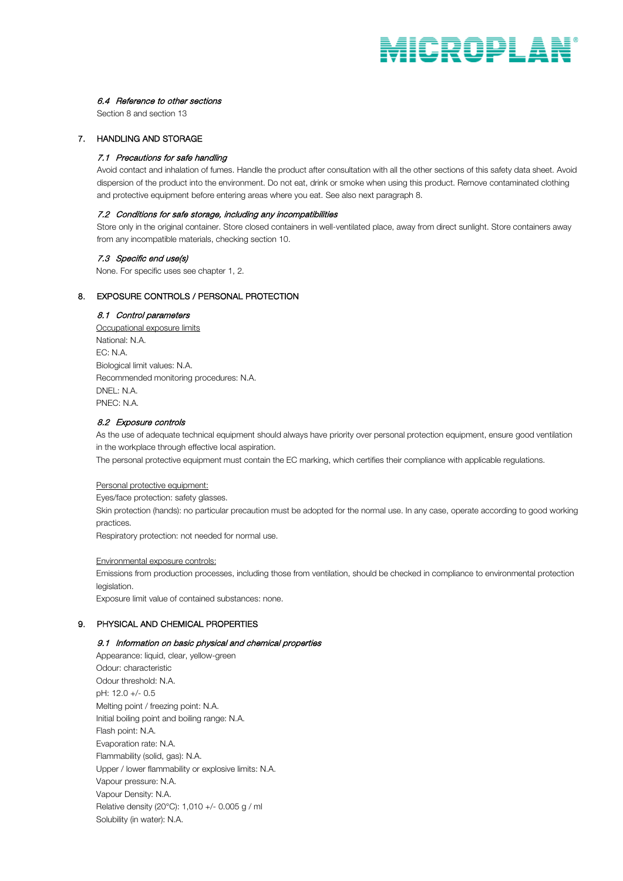# 6.4 Reference to other sections

Section 8 and section 13

# 7. HANDLING AND STORAGE

#### 7.1 Precautions for safe handling

Avoid contact and inhalation of fumes. Handle the product after consultation with all the other sections of this safety data sheet. Avoid dispersion of the product into the environment. Do not eat, drink or smoke when using this product. Remove contaminated clothing and protective equipment before entering areas where you eat. See also next paragraph 8.

#### 7.2 Conditions for safe storage, including any incompatibilities

Store only in the original container. Store closed containers in well-ventilated place, away from direct sunlight. Store containers away from any incompatible materials, checking section 10.

### 7.3 Specific end use(s)

None. For specific uses see chapter 1, 2.

# 8. EXPOSURE CONTROLS / PERSONAL PROTECTION

# 8.1 Control parameters

Occupational exposure limits National: N.A. EC: N.A. Biological limit values: N.A. Recommended monitoring procedures: N.A. DNEL: N.A. PNEC: N.A.

# 8.2 Exposure controls

As the use of adequate technical equipment should always have priority over personal protection equipment, ensure good ventilation in the workplace through effective local aspiration.

The personal protective equipment must contain the EC marking, which certifies their compliance with applicable regulations.

#### Personal protective equipment:

Eyes/face protection: safety glasses.

Skin protection (hands): no particular precaution must be adopted for the normal use. In any case, operate according to good working practices.

Respiratory protection: not needed for normal use.

#### Environmental exposure controls:

Emissions from production processes, including those from ventilation, should be checked in compliance to environmental protection legislation.

Exposure limit value of contained substances: none.

# 9. PHYSICAL AND CHEMICAL PROPERTIES

#### 9.1 Information on basic physical and chemical properties

Appearance: liquid, clear, yellow-green Odour: characteristic Odour threshold: N.A. pH: 12.0 +/- 0.5 Melting point / freezing point: N.A. Initial boiling point and boiling range: N.A. Flash point: N.A. Evaporation rate: N.A. Flammability (solid, gas): N.A. Upper / lower flammability or explosive limits: N.A. Vapour pressure: N.A. Vapour Density: N.A. Relative density (20°C): 1,010 +/- 0.005 g / ml Solubility (in water): N.A.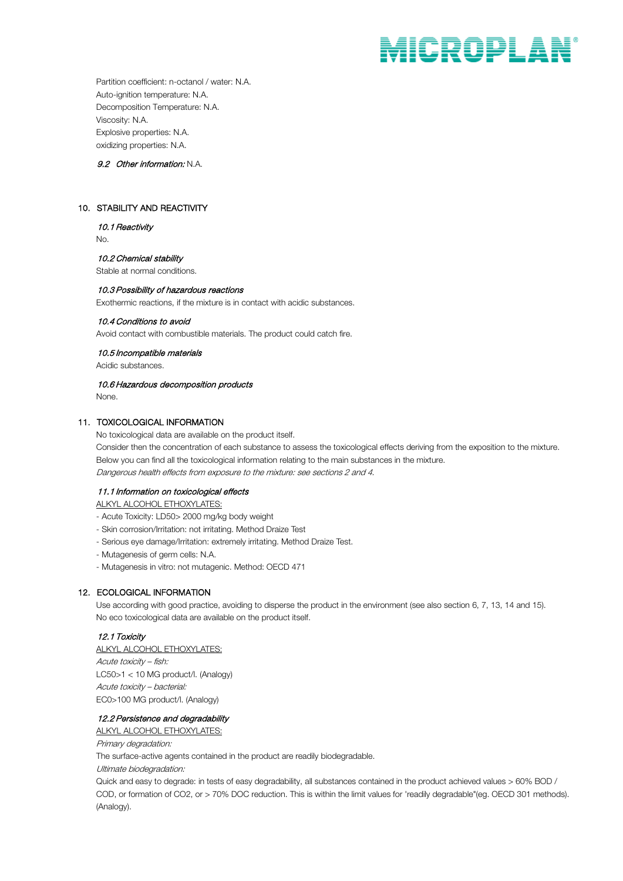Partition coefficient: n-octanol / water: N.A. Auto-ignition temperature: N.A. Decomposition Temperature: N.A. Viscosity: N.A. Explosive properties: N.A. oxidizing properties: N.A.

# 9.2 Other information: N.A.

# 10. STABILITY AND REACTIVITY

# 10.1 Reactivity

No.

# 10.2 Chemical stability

Stable at normal conditions.

#### 10.3 Possibility of hazardous reactions

Exothermic reactions, if the mixture is in contact with acidic substances.

#### 10.4 Conditions to avoid

Avoid contact with combustible materials. The product could catch fire.

#### 10.5 Incompatible materials

Acidic substances.

# 10.6 Hazardous decomposition products

None.

#### 11. TOXICOLOGICAL INFORMATION

No toxicological data are available on the product itself. Consider then the concentration of each substance to assess the toxicological effects deriving from the exposition to the mixture. Below you can find all the toxicological information relating to the main substances in the mixture. Dangerous health effects from exposure to the mixture: see sections 2 and 4.

# 11.1 Information on toxicological effects

ALKYL ALCOHOL ETHOXYLATES:

- Acute Toxicity: LD50> 2000 mg/kg body weight
- Skin corrosion/Irritation: not irritating. Method Draize Test
- Serious eye damage/Irritation: extremely irritating. Method Draize Test.
- Mutagenesis of germ cells: N.A.
- Mutagenesis in vitro: not mutagenic. Method: OECD 471

# 12. ECOLOGICAL INFORMATION

Use according with good practice, avoiding to disperse the product in the environment (see also section 6, 7, 13, 14 and 15). No eco toxicological data are available on the product itself.

# 12.1 Toxicity

ALKYL ALCOHOL ETHOXYLATES: Acute toxicity – fish: LC50>1 < 10 MG product/l. (Analogy) Acute toxicity – bacterial: EC0>100 MG product/l. (Analogy)

# 12.2 Persistence and degradability

ALKYL ALCOHOL ETHOXYLATES:

Primary degradation:

The surface-active agents contained in the product are readily biodegradable.

Ultimate biodegradation:

Quick and easy to degrade: in tests of easy degradability, all substances contained in the product achieved values > 60% BOD / COD, or formation of CO2, or > 70% DOC reduction. This is within the limit values for 'readily degradable"(eg. OECD 301 methods). (Analogy).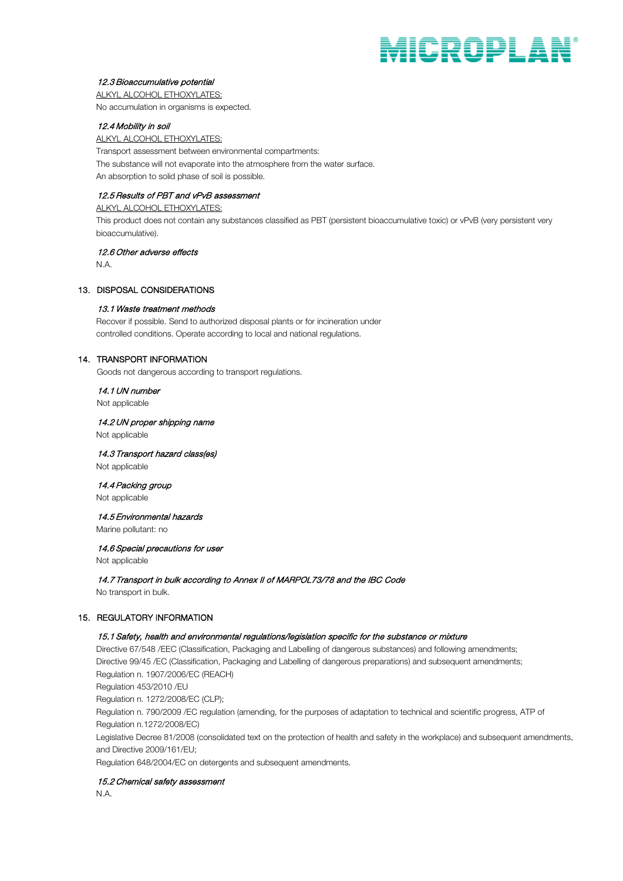# 12.3 Bioaccumulative potential

ALKYL ALCOHOL ETHOXYLATES: No accumulation in organisms is expected.

# 12.4 Mobility in soil

ALKYL ALCOHOL ETHOXYLATES: Transport assessment between environmental compartments: The substance will not evaporate into the atmosphere from the water surface. An absorption to solid phase of soil is possible.

# 12.5 Results of PBT and vPvB assessment

ALKYL ALCOHOL ETHOXYLATES: This product does not contain any substances classified as PBT (persistent bioaccumulative toxic) or vPvB (very persistent very bioaccumulative).

12.6 Other adverse effects

N.A.

# 13. DISPOSAL CONSIDERATIONS

# 13.1 Waste treatment methods

Recover if possible. Send to authorized disposal plants or for incineration under controlled conditions. Operate according to local and national regulations.

# 14. TRANSPORT INFORMATION

Goods not dangerous according to transport regulations.

#### 14.1 UN number

Not applicable

# 14.2 UN proper shipping name

Not applicable

# 14.3 Transport hazard class(es)

Not applicable

### 14.4 Packing group Not applicable

# 14.5 Environmental hazards

Marine pollutant: no

# 14.6 Special precautions for user

Not applicable

14.7 Transport in bulk according to Annex II of MARPOL73/78 and the IBC Code

No transport in bulk.

# 15. REGULATORY INFORMATION

# 15.1 Safety, health and environmental regulations/legislation specific for the substance or mixture

Directive 67/548 /EEC (Classification, Packaging and Labelling of dangerous substances) and following amendments; Directive 99/45 /EC (Classification, Packaging and Labelling of dangerous preparations) and subsequent amendments; Regulation n. 1907/2006/EC (REACH) Regulation 453/2010 /EU Regulation n. 1272/2008/EC (CLP); Regulation n. 790/2009 /EC regulation (amending, for the purposes of adaptation to technical and scientific progress, ATP of Regulation n.1272/2008/EC)

Legislative Decree 81/2008 (consolidated text on the protection of health and safety in the workplace) and subsequent amendments, and Directive 2009/161/EU;

Regulation 648/2004/EC on detergents and subsequent amendments.

# 15.2 Chemical safety assessment

N.A.